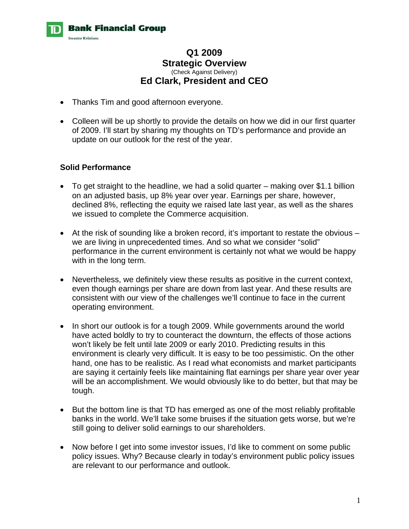

# **Q1 2009 Strategic Overview**  (Check Against Delivery) **Ed Clark, President and CEO**

- Thanks Tim and good afternoon everyone.
- Colleen will be up shortly to provide the details on how we did in our first quarter of 2009. I'll start by sharing my thoughts on TD's performance and provide an update on our outlook for the rest of the year.

# **Solid Performance**

- To get straight to the headline, we had a solid quarter making over \$1.1 billion on an adjusted basis, up 8% year over year. Earnings per share, however, declined 8%, reflecting the equity we raised late last year, as well as the shares we issued to complete the Commerce acquisition.
- At the risk of sounding like a broken record, it's important to restate the obvious we are living in unprecedented times. And so what we consider "solid" performance in the current environment is certainly not what we would be happy with in the long term.
- Nevertheless, we definitely view these results as positive in the current context, even though earnings per share are down from last year. And these results are consistent with our view of the challenges we'll continue to face in the current operating environment.
- In short our outlook is for a tough 2009. While governments around the world have acted boldly to try to counteract the downturn, the effects of those actions won't likely be felt until late 2009 or early 2010. Predicting results in this environment is clearly very difficult. It is easy to be too pessimistic. On the other hand, one has to be realistic. As I read what economists and market participants are saying it certainly feels like maintaining flat earnings per share year over year will be an accomplishment. We would obviously like to do better, but that may be tough.
- But the bottom line is that TD has emerged as one of the most reliably profitable banks in the world. We'll take some bruises if the situation gets worse, but we're still going to deliver solid earnings to our shareholders.
- Now before I get into some investor issues, I'd like to comment on some public policy issues. Why? Because clearly in today's environment public policy issues are relevant to our performance and outlook.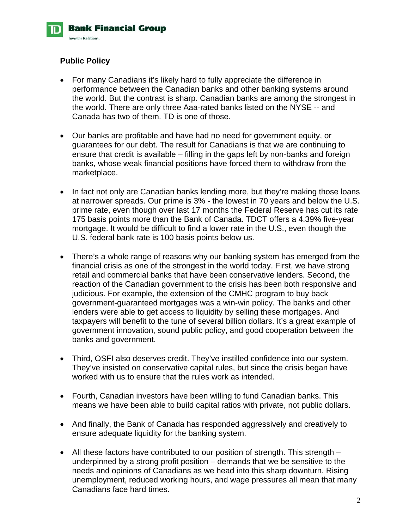

# **Public Policy**

- For many Canadians it's likely hard to fully appreciate the difference in performance between the Canadian banks and other banking systems around the world. But the contrast is sharp. Canadian banks are among the strongest in the world. There are only three Aaa-rated banks listed on the NYSE -- and Canada has two of them. TD is one of those.
- Our banks are profitable and have had no need for government equity, or guarantees for our debt. The result for Canadians is that we are continuing to ensure that credit is available – filling in the gaps left by non-banks and foreign banks, whose weak financial positions have forced them to withdraw from the marketplace.
- In fact not only are Canadian banks lending more, but they're making those loans at narrower spreads. Our prime is 3% - the lowest in 70 years and below the U.S. prime rate, even though over last 17 months the Federal Reserve has cut its rate 175 basis points more than the Bank of Canada. TDCT offers a 4.39% five-year mortgage. It would be difficult to find a lower rate in the U.S., even though the U.S. federal bank rate is 100 basis points below us.
- There's a whole range of reasons why our banking system has emerged from the financial crisis as one of the strongest in the world today. First, we have strong retail and commercial banks that have been conservative lenders. Second, the reaction of the Canadian government to the crisis has been both responsive and judicious. For example, the extension of the CMHC program to buy back government-guaranteed mortgages was a win-win policy. The banks and other lenders were able to get access to liquidity by selling these mortgages. And taxpayers will benefit to the tune of several billion dollars. It's a great example of government innovation, sound public policy, and good cooperation between the banks and government.
- Third, OSFI also deserves credit. They've instilled confidence into our system. They've insisted on conservative capital rules, but since the crisis began have worked with us to ensure that the rules work as intended.
- Fourth, Canadian investors have been willing to fund Canadian banks. This means we have been able to build capital ratios with private, not public dollars.
- And finally, the Bank of Canada has responded aggressively and creatively to ensure adequate liquidity for the banking system.
- All these factors have contributed to our position of strength. This strength underpinned by a strong profit position – demands that we be sensitive to the needs and opinions of Canadians as we head into this sharp downturn. Rising unemployment, reduced working hours, and wage pressures all mean that many Canadians face hard times.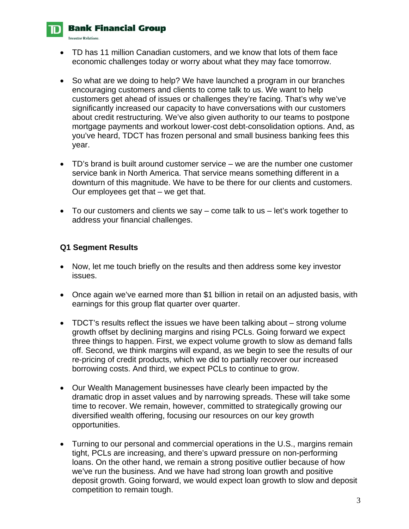## **Bank Financial Group**

**Investor Relations** 

- TD has 11 million Canadian customers, and we know that lots of them face economic challenges today or worry about what they may face tomorrow.
- So what are we doing to help? We have launched a program in our branches encouraging customers and clients to come talk to us. We want to help customers get ahead of issues or challenges they're facing. That's why we've significantly increased our capacity to have conversations with our customers about credit restructuring. We've also given authority to our teams to postpone mortgage payments and workout lower-cost debt-consolidation options. And, as you've heard, TDCT has frozen personal and small business banking fees this year.
- TD's brand is built around customer service we are the number one customer service bank in North America. That service means something different in a downturn of this magnitude. We have to be there for our clients and customers. Our employees get that – we get that.
- To our customers and clients we say come talk to us let's work together to address your financial challenges.

# **Q1 Segment Results**

- Now, let me touch briefly on the results and then address some key investor issues.
- Once again we've earned more than \$1 billion in retail on an adjusted basis, with earnings for this group flat quarter over quarter.
- TDCT's results reflect the issues we have been talking about strong volume growth offset by declining margins and rising PCLs. Going forward we expect three things to happen. First, we expect volume growth to slow as demand falls off. Second, we think margins will expand, as we begin to see the results of our re-pricing of credit products, which we did to partially recover our increased borrowing costs. And third, we expect PCLs to continue to grow.
- Our Wealth Management businesses have clearly been impacted by the dramatic drop in asset values and by narrowing spreads. These will take some time to recover. We remain, however, committed to strategically growing our diversified wealth offering, focusing our resources on our key growth opportunities.
- Turning to our personal and commercial operations in the U.S., margins remain tight, PCLs are increasing, and there's upward pressure on non-performing loans. On the other hand, we remain a strong positive outlier because of how we've run the business. And we have had strong loan growth and positive deposit growth. Going forward, we would expect loan growth to slow and deposit competition to remain tough.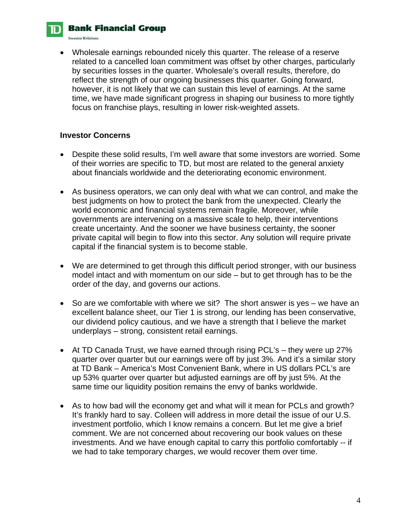**Bank Financial Group** 

**Investor Relations** 

• Wholesale earnings rebounded nicely this quarter. The release of a reserve related to a cancelled loan commitment was offset by other charges, particularly by securities losses in the quarter. Wholesale's overall results, therefore, do reflect the strength of our ongoing businesses this quarter. Going forward, however, it is not likely that we can sustain this level of earnings. At the same time, we have made significant progress in shaping our business to more tightly focus on franchise plays, resulting in lower risk-weighted assets.

#### **Investor Concerns**

- Despite these solid results, I'm well aware that some investors are worried. Some of their worries are specific to TD, but most are related to the general anxiety about financials worldwide and the deteriorating economic environment.
- As business operators, we can only deal with what we can control, and make the best judgments on how to protect the bank from the unexpected. Clearly the world economic and financial systems remain fragile. Moreover, while governments are intervening on a massive scale to help, their interventions create uncertainty. And the sooner we have business certainty, the sooner private capital will begin to flow into this sector. Any solution will require private capital if the financial system is to become stable.
- We are determined to get through this difficult period stronger, with our business model intact and with momentum on our side – but to get through has to be the order of the day, and governs our actions.
- So are we comfortable with where we sit? The short answer is yes we have an excellent balance sheet, our Tier 1 is strong, our lending has been conservative, our dividend policy cautious, and we have a strength that I believe the market underplays – strong, consistent retail earnings.
- At TD Canada Trust, we have earned through rising PCL's they were up 27% quarter over quarter but our earnings were off by just 3%. And it's a similar story at TD Bank – America's Most Convenient Bank, where in US dollars PCL's are up 53% quarter over quarter but adjusted earnings are off by just 5%. At the same time our liquidity position remains the envy of banks worldwide.
- As to how bad will the economy get and what will it mean for PCLs and growth? It's frankly hard to say. Colleen will address in more detail the issue of our U.S. investment portfolio, which I know remains a concern. But let me give a brief comment. We are not concerned about recovering our book values on these investments. And we have enough capital to carry this portfolio comfortably -- if we had to take temporary charges, we would recover them over time.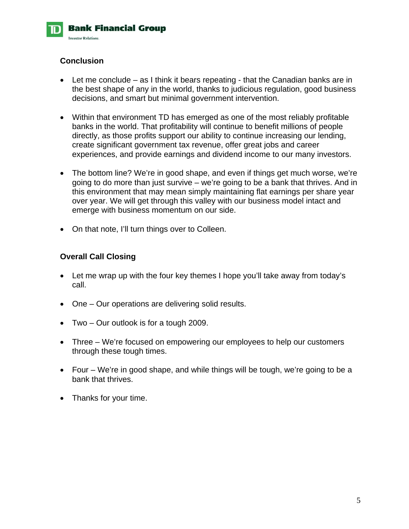

# **Conclusion**

- Let me conclude as I think it bears repeating that the Canadian banks are in the best shape of any in the world, thanks to judicious regulation, good business decisions, and smart but minimal government intervention.
- Within that environment TD has emerged as one of the most reliably profitable banks in the world. That profitability will continue to benefit millions of people directly, as those profits support our ability to continue increasing our lending, create significant government tax revenue, offer great jobs and career experiences, and provide earnings and dividend income to our many investors.
- The bottom line? We're in good shape, and even if things get much worse, we're going to do more than just survive – we're going to be a bank that thrives. And in this environment that may mean simply maintaining flat earnings per share year over year. We will get through this valley with our business model intact and emerge with business momentum on our side.
- On that note, I'll turn things over to Colleen.

#### **Overall Call Closing**

- Let me wrap up with the four key themes I hope you'll take away from today's call.
- One Our operations are delivering solid results.
- Two Our outlook is for a tough 2009.
- Three We're focused on empowering our employees to help our customers through these tough times.
- Four We're in good shape, and while things will be tough, we're going to be a bank that thrives.
- Thanks for your time.